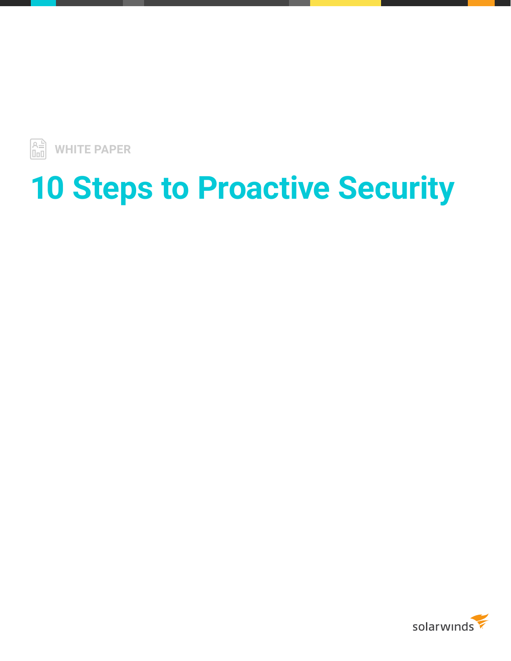

# **10 Steps to Proactive Security**

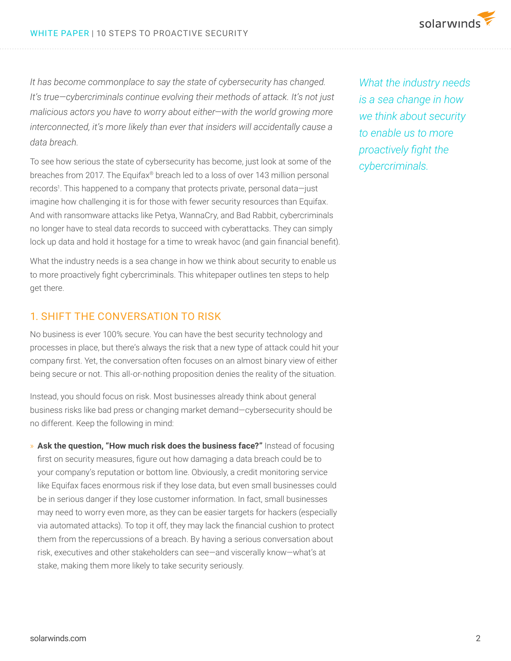*It has become commonplace to say the state of cybersecurity has changed. It's true—cybercriminals continue evolving their methods of attack. It's not just malicious actors you have to worry about either—with the world growing more interconnected, it's more likely than ever that insiders will accidentally cause a data breach.*

To see how serious the state of cybersecurity has become, just look at some of the breaches from 2017. The Equifax® breach led to a loss of over 143 million personal records<sup>1</sup>. This happened to a company that protects private, personal data-just imagine how challenging it is for those with fewer security resources than Equifax. And with ransomware attacks like Petya, WannaCry, and Bad Rabbit, cybercriminals no longer have to steal data records to succeed with cyberattacks. They can simply lock up data and hold it hostage for a time to wreak havoc (and gain financial benefit).

What the industry needs is a sea change in how we think about security to enable us to more proactively fight cybercriminals. This whitepaper outlines ten steps to help get there.

## 1. SHIFT THE CONVERSATION TO RISK

No business is ever 100% secure. You can have the best security technology and processes in place, but there's always the risk that a new type of attack could hit your company first. Yet, the conversation often focuses on an almost binary view of either being secure or not. This all-or-nothing proposition denies the reality of the situation.

Instead, you should focus on risk. Most businesses already think about general business risks like bad press or changing market demand—cybersecurity should be no different. Keep the following in mind:

» **Ask the question, "How much risk does the business face?"** Instead of focusing first on security measures, figure out how damaging a data breach could be to your company's reputation or bottom line. Obviously, a credit monitoring service like Equifax faces enormous risk if they lose data, but even small businesses could be in serious danger if they lose customer information. In fact, small businesses may need to worry even more, as they can be easier targets for hackers (especially via automated attacks). To top it off, they may lack the financial cushion to protect them from the repercussions of a breach. By having a serious conversation about risk, executives and other stakeholders can see—and viscerally know—what's at stake, making them more likely to take security seriously.

*What the industry needs is a sea change in how we think about security to enable us to more proactively fight the cybercriminals.*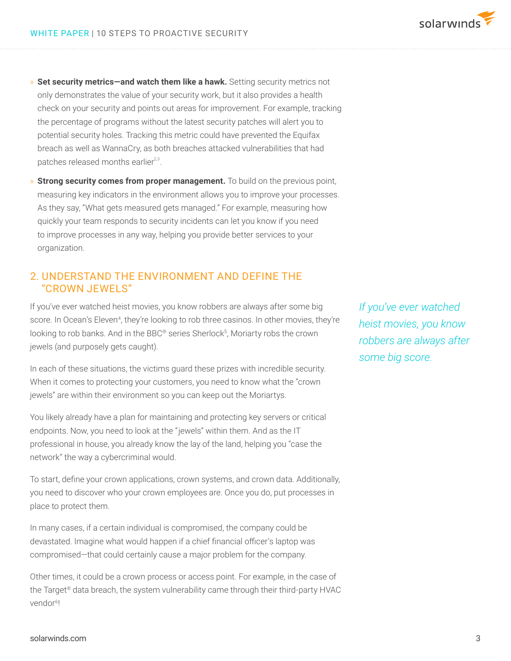- » **Set security metrics—and watch them like a hawk.** Setting security metrics not only demonstrates the value of your security work, but it also provides a health check on your security and points out areas for improvement. For example, tracking the percentage of programs without the latest security patches will alert you to potential security holes. Tracking this metric could have prevented the Equifax breach as well as WannaCry, as both breaches attacked vulnerabilities that had patches released months earlier<sup>2,3</sup>.
- » **Strong security comes from proper management.** To build on the previous point, measuring key indicators in the environment allows you to improve your processes. As they say, "What gets measured gets managed." For example, measuring how quickly your team responds to security incidents can let you know if you need to improve processes in any way, helping you provide better services to your organization.

# 2. UNDERSTAND THE ENVIRONMENT AND DEFINE THE "CROWN JEWELS"

If you've ever watched heist movies, you know robbers are always after some big score. In Ocean's Eleven<sup>4</sup>, they're looking to rob three casinos. In other movies, they're looking to rob banks. And in the BBC® series Sherlock<sup>5</sup>, Moriarty robs the crown jewels (and purposely gets caught).

In each of these situations, the victims guard these prizes with incredible security. When it comes to protecting your customers, you need to know what the "crown jewels" are within their environment so you can keep out the Moriartys.

You likely already have a plan for maintaining and protecting key servers or critical endpoints. Now, you need to look at the "jewels" within them. And as the IT professional in house, you already know the lay of the land, helping you "case the network" the way a cybercriminal would.

To start, define your crown applications, crown systems, and crown data. Additionally, you need to discover who your crown employees are. Once you do, put processes in place to protect them.

In many cases, if a certain individual is compromised, the company could be devastated. Imagine what would happen if a chief financial officer's laptop was compromised—that could certainly cause a major problem for the company.

Other times, it could be a crown process or access point. For example, in the case of the Target® data breach, the system vulnerability came through their third-party HVAC vendor<sup>6!</sup>

*If you've ever watched heist movies, you know robbers are always after some big score.*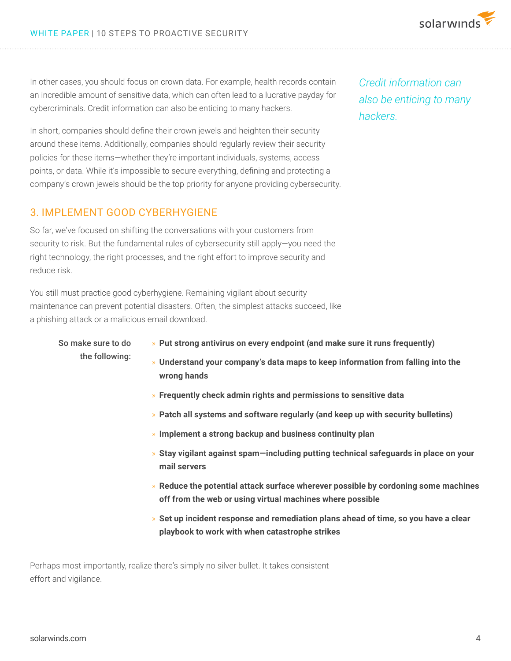In other cases, you should focus on crown data. For example, health records contain an incredible amount of sensitive data, which can often lead to a lucrative payday for cybercriminals. Credit information can also be enticing to many hackers.

In short, companies should define their crown jewels and heighten their security around these items. Additionally, companies should regularly review their security policies for these items—whether they're important individuals, systems, access points, or data. While it's impossible to secure everything, defining and protecting a company's crown jewels should be the top priority for anyone providing cybersecurity.

## 3. IMPLEMENT GOOD CYBERHYGIENE

So far, we've focused on shifting the conversations with your customers from security to risk. But the fundamental rules of cybersecurity still apply—you need the right technology, the right processes, and the right effort to improve security and reduce risk.

You still must practice good cyberhygiene. Remaining vigilant about security maintenance can prevent potential disasters. Often, the simplest attacks succeed, like a phishing attack or a malicious email download.

So make sure to do the following:

- » **Put strong antivirus on every endpoint (and make sure it runs frequently)**
- » **Understand your company's data maps to keep information from falling into the wrong hands**
- » **Frequently check admin rights and permissions to sensitive data**
- » **Patch all systems and software regularly (and keep up with security bulletins)**
- » **Implement a strong backup and business continuity plan**
- » **Stay vigilant against spam—including putting technical safeguards in place on your mail servers**
- » **Reduce the potential attack surface wherever possible by cordoning some machines off from the web or using virtual machines where possible**
- » **Set up incident response and remediation plans ahead of time, so you have a clear playbook to work with when catastrophe strikes**

Perhaps most importantly, realize there's simply no silver bullet. It takes consistent effort and vigilance.

*Credit information can also be enticing to many hackers.*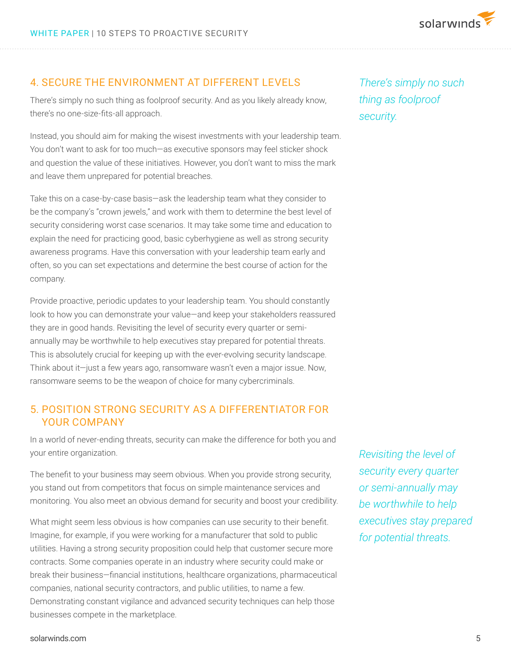

#### 4. SECURE THE ENVIRONMENT AT DIFFERENT LEVELS

There's simply no such thing as foolproof security. And as you likely already know, there's no one-size-fits-all approach.

Instead, you should aim for making the wisest investments with your leadership team. You don't want to ask for too much—as executive sponsors may feel sticker shock and question the value of these initiatives. However, you don't want to miss the mark and leave them unprepared for potential breaches.

Take this on a case-by-case basis—ask the leadership team what they consider to be the company's "crown jewels," and work with them to determine the best level of security considering worst case scenarios. It may take some time and education to explain the need for practicing good, basic cyberhygiene as well as strong security awareness programs. Have this conversation with your leadership team early and often, so you can set expectations and determine the best course of action for the company.

Provide proactive, periodic updates to your leadership team. You should constantly look to how you can demonstrate your value—and keep your stakeholders reassured they are in good hands. Revisiting the level of security every quarter or semiannually may be worthwhile to help executives stay prepared for potential threats. This is absolutely crucial for keeping up with the ever-evolving security landscape. Think about it—just a few years ago, ransomware wasn't even a major issue. Now, ransomware seems to be the weapon of choice for many cybercriminals.

## 5. POSITION STRONG SECURITY AS A DIFFERENTIATOR FOR YOUR COMPANY

In a world of never-ending threats, security can make the difference for both you and your entire organization.

The benefit to your business may seem obvious. When you provide strong security, you stand out from competitors that focus on simple maintenance services and monitoring. You also meet an obvious demand for security and boost your credibility.

What might seem less obvious is how companies can use security to their benefit. Imagine, for example, if you were working for a manufacturer that sold to public utilities. Having a strong security proposition could help that customer secure more contracts. Some companies operate in an industry where security could make or break their business—financial institutions, healthcare organizations, pharmaceutical companies, national security contractors, and public utilities, to name a few. Demonstrating constant vigilance and advanced security techniques can help those businesses compete in the marketplace.

*There's simply no such thing as foolproof security.*

*Revisiting the level of security every quarter or semi-annually may be worthwhile to help executives stay prepared for potential threats.*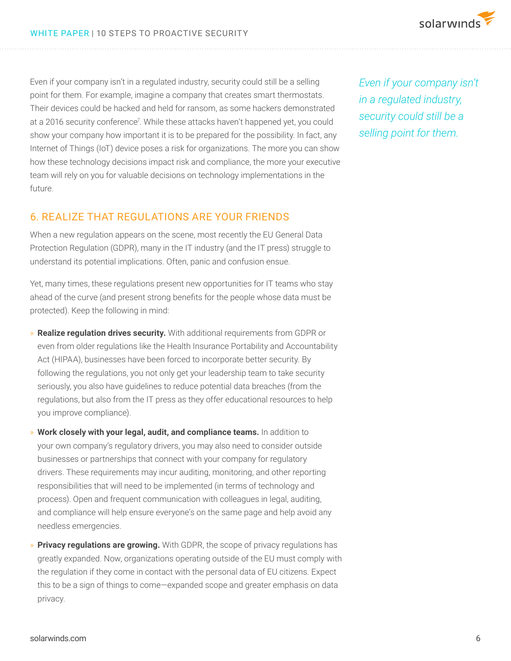

Even if your company isn't in a regulated industry, security could still be a selling point for them. For example, imagine a company that creates smart thermostats. Their devices could be hacked and held for ransom, as some hackers demonstrated at a 2016 security conference<sup>7</sup>. While these attacks haven't happened yet, you could show your company how important it is to be prepared for the possibility. In fact, any Internet of Things (IoT) device poses a risk for organizations. The more you can show how these technology decisions impact risk and compliance, the more your executive team will rely on you for valuable decisions on technology implementations in the future.

6. REALIZE THAT REGULATIONS ARE YOUR FRIENDS

When a new regulation appears on the scene, most recently the EU General Data Protection Regulation (GDPR), many in the IT industry (and the IT press) struggle to understand its potential implications. Often, panic and confusion ensue.

Yet, many times, these regulations present new opportunities for IT teams who stay ahead of the curve (and present strong benefits for the people whose data must be protected). Keep the following in mind:

- » **Realize regulation drives security.** With additional requirements from GDPR or even from older regulations like the Health Insurance Portability and Accountability Act (HIPAA), businesses have been forced to incorporate better security. By following the regulations, you not only get your leadership team to take security seriously, you also have guidelines to reduce potential data breaches (from the regulations, but also from the IT press as they offer educational resources to help you improve compliance).
- » **Work closely with your legal, audit, and compliance teams.** In addition to your own company's regulatory drivers, you may also need to consider outside businesses or partnerships that connect with your company for regulatory drivers. These requirements may incur auditing, monitoring, and other reporting responsibilities that will need to be implemented (in terms of technology and process). Open and frequent communication with colleagues in legal, auditing, and compliance will help ensure everyone's on the same page and help avoid any needless emergencies.
- » **Privacy regulations are growing.** With GDPR, the scope of privacy regulations has greatly expanded. Now, organizations operating outside of the EU must comply with the regulation if they come in contact with the personal data of EU citizens. Expect this to be a sign of things to come—expanded scope and greater emphasis on data privacy.

*Even if your company isn't in a regulated industry, security could still be a selling point for them.*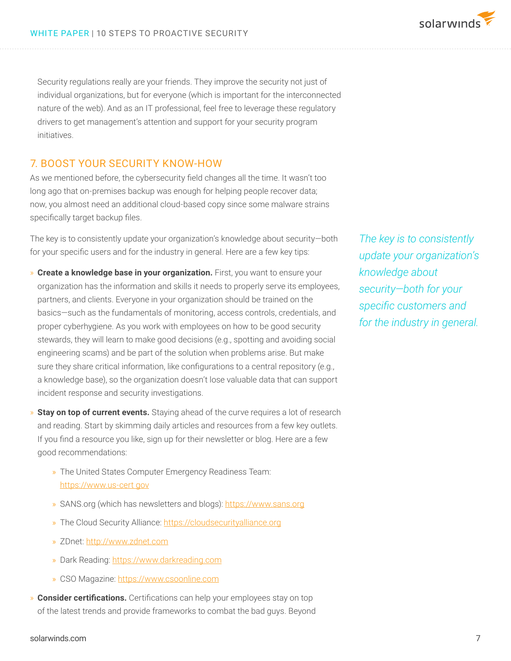Security regulations really are your friends. They improve the security not just of individual organizations, but for everyone (which is important for the interconnected nature of the web). And as an IT professional, feel free to leverage these regulatory drivers to get management's attention and support for your security program initiatives.

#### 7. BOOST YOUR SECURITY KNOW-HOW

As we mentioned before, the cybersecurity field changes all the time. It wasn't too long ago that on-premises backup was enough for helping people recover data; now, you almost need an additional cloud-based copy since some malware strains specifically target backup files.

The key is to consistently update your organization's knowledge about security—both for your specific users and for the industry in general. Here are a few key tips:

- » **Create a knowledge base in your organization.** First, you want to ensure your organization has the information and skills it needs to properly serve its employees, partners, and clients. Everyone in your organization should be trained on the basics—such as the fundamentals of monitoring, access controls, credentials, and proper cyberhygiene. As you work with employees on how to be good security stewards, they will learn to make good decisions (e.g., spotting and avoiding social engineering scams) and be part of the solution when problems arise. But make sure they share critical information, like configurations to a central repository (e.g., a knowledge base), so the organization doesn't lose valuable data that can support incident response and security investigations.
- » **Stay on top of current events.** Staying ahead of the curve requires a lot of research and reading. Start by skimming daily articles and resources from a few key outlets. If you find a resource you like, sign up for their newsletter or blog. Here are a few good recommendations:
	- » The United States Computer Emergency Readiness Team: https://www.us-cert gov
	- » SANS.org (which has newsletters and blogs): https://www.sans.org
	- » The Cloud Security Alliance: https://cloudsecurityalliance.org
	- » ZDnet: http://www.zdnet.com
	- » Dark Reading: https://www.darkreading.com
	- » CSO Magazine: https://www.csoonline.com
- » **Consider certifications.** Certifications can help your employees stay on top of the latest trends and provide frameworks to combat the bad guys. Beyond

*The key is to consistently update your organization's knowledge about security—both for your specific customers and for the industry in general.*

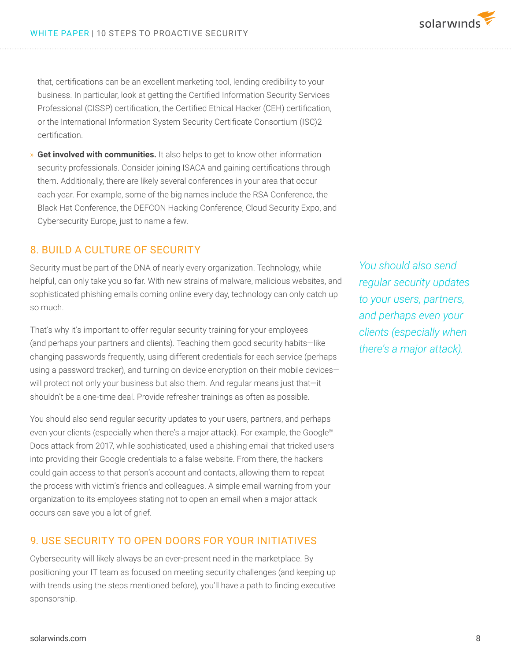that, certifications can be an excellent marketing tool, lending credibility to your business. In particular, look at getting the Certified Information Security Services Professional (CISSP) certification, the Certified Ethical Hacker (CEH) certification, or the International Information System Security Certificate Consortium (ISC)2 certification.

» **Get involved with communities.** It also helps to get to know other information security professionals. Consider joining ISACA and gaining certifications through them. Additionally, there are likely several conferences in your area that occur each year. For example, some of the big names include the RSA Conference, the Black Hat Conference, the DEFCON Hacking Conference, Cloud Security Expo, and Cybersecurity Europe, just to name a few.

#### 8. BUILD A CULTURE OF SECURITY

Security must be part of the DNA of nearly every organization. Technology, while helpful, can only take you so far. With new strains of malware, malicious websites, and sophisticated phishing emails coming online every day, technology can only catch up so much.

That's why it's important to offer regular security training for your employees (and perhaps your partners and clients). Teaching them good security habits—like changing passwords frequently, using different credentials for each service (perhaps using a password tracker), and turning on device encryption on their mobile devices will protect not only your business but also them. And regular means just that—it shouldn't be a one-time deal. Provide refresher trainings as often as possible.

You should also send regular security updates to your users, partners, and perhaps even your clients (especially when there's a major attack). For example, the Google® Docs attack from 2017, while sophisticated, used a phishing email that tricked users into providing their Google credentials to a false website. From there, the hackers could gain access to that person's account and contacts, allowing them to repeat the process with victim's friends and colleagues. A simple email warning from your organization to its employees stating not to open an email when a major attack occurs can save you a lot of grief.

## 9. USE SECURITY TO OPEN DOORS FOR YOUR INITIATIVES

Cybersecurity will likely always be an ever-present need in the marketplace. By positioning your IT team as focused on meeting security challenges (and keeping up with trends using the steps mentioned before), you'll have a path to finding executive sponsorship.

*You should also send regular security updates to your users, partners, and perhaps even your clients (especially when there's a major attack).*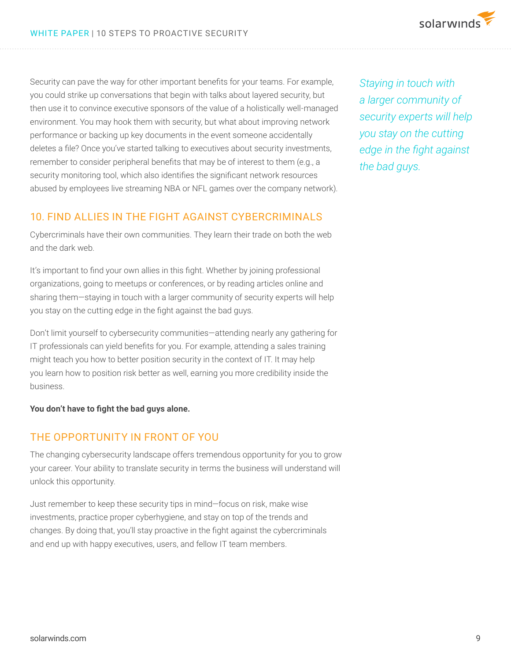Security can pave the way for other important benefits for your teams. For example, you could strike up conversations that begin with talks about layered security, but then use it to convince executive sponsors of the value of a holistically well-managed environment. You may hook them with security, but what about improving network performance or backing up key documents in the event someone accidentally deletes a file? Once you've started talking to executives about security investments, remember to consider peripheral benefits that may be of interest to them (e.g., a security monitoring tool, which also identifies the significant network resources abused by employees live streaming NBA or NFL games over the company network).

## 10. FIND ALLIES IN THE FIGHT AGAINST CYBERCRIMINALS

Cybercriminals have their own communities. They learn their trade on both the web and the dark web.

It's important to find your own allies in this fight. Whether by joining professional organizations, going to meetups or conferences, or by reading articles online and sharing them—staying in touch with a larger community of security experts will help you stay on the cutting edge in the fight against the bad guys.

Don't limit yourself to cybersecurity communities—attending nearly any gathering for IT professionals can yield benefits for you. For example, attending a sales training might teach you how to better position security in the context of IT. It may help you learn how to position risk better as well, earning you more credibility inside the business.

**You don't have to fight the bad guys alone.** 

## THE OPPORTUNITY IN FRONT OF YOU

The changing cybersecurity landscape offers tremendous opportunity for you to grow your career. Your ability to translate security in terms the business will understand will unlock this opportunity.

Just remember to keep these security tips in mind—focus on risk, make wise investments, practice proper cyberhygiene, and stay on top of the trends and changes. By doing that, you'll stay proactive in the fight against the cybercriminals and end up with happy executives, users, and fellow IT team members.

*Staying in touch with a larger community of security experts will help you stay on the cutting edge in the fight against the bad guys.*